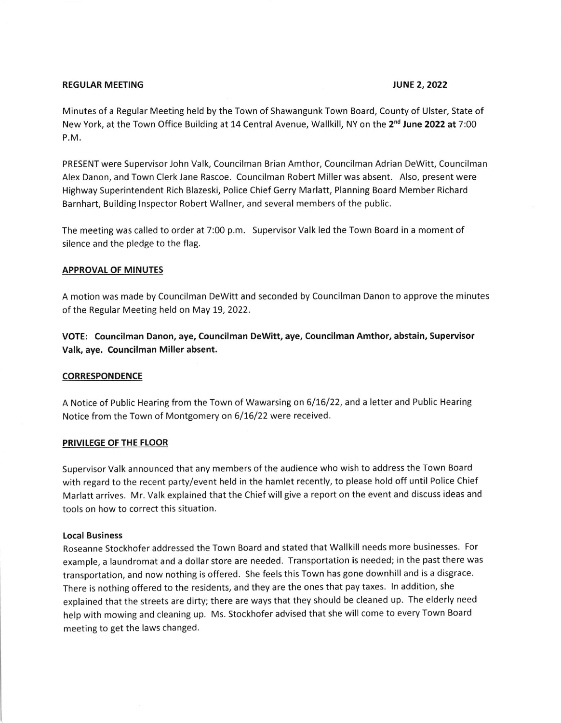# REGULAR MEETING TUNE 2, 2022

Minutes of a Regular Meeting held by the Town of Shawangunk Town Board, County of Ulster, State of New York, at the Town Office Building at 14 Central Avenue, Wallkill, NY on the 2<sup>nd</sup> June 2022 at 7:00 P.M.

PRESENT were Supervisor John Valk, Councilman Brian Amthor, Councilman Adrian Dewitt, Councilman Alex Danon, and Town Clerk Jane Rascoe. Councilman Robert Miller was absent. Also, present were Highway Superintendent Rich Blazeski, Police Chief Gerry Marlatt, Planning Board Member Richard Barnhart, Building lnspector Robert Wallner, and several members of the public.

The meeting was called to order at 7:00 p.m. Supervisor Valk led the Town Board in a moment of silence and the pledge to the flag.

# APPROVAL OF MINUTES

A motion was made by Councilman Dewitt and seconded by Councilman Danon to approve the minutes of the Regular Meeting held on May 19, 2022.

VOTE: Councilman Danon, aye, Councilman Dewitt, aye, Councilman Amthor, abstain, Supervisor Valk, aye. Councilman Miller absent.

#### **CORRESPONDENCE**

A Notice of Public Hearing from the Town of Wawarsing on 6/16/22, and a letter and Public Hearing Notice from the Town of Montgomery on 6/16/22 were received.

## PRIVILEGE OF THE FLOOR

Supervisor Valk announced that any members of the audience who wish to address the Town Board with regard to the recent party/event held in the hamlet recently, to please hold off until Police Chief Marlatt arrives. Mr. Valk explained that the Chief will give a report on the event and discuss ideas and tools on how to correct this situation.

### Local Business

Roseanne Stockhofer addressed the Town Board and stated that Wallkill needs more businesses. For example, a laundromat and a dollar store are needed. Transportation is needed; in the past there was transportation, and now nothing is offered. She feels this Town has gone downhill and is a disgrace. There is nothing offered to the residents, and they are the ones that pay taxes. ln addition, she explained that the streets are dirty; there are ways that they should be cleaned up. The elderly need help with mowing and cleaning up. Ms. stockhofer advised that she will come to every Town Board meeting to get the laws changed.